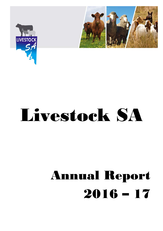



# Livestock SA

# Annual Report 2016 – 17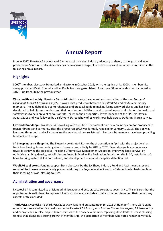



# **Annual Report**

In June 2017, Livestock SA celebrated four years of providing industry advocacy to sheep, cattle, goat and wool producers in South Australia. Advocacy has been across a range of industry issues and initiatives, as outlined in the following annual report.

# **Highlights**

**3000th member.** Livestock SA marked a milestone in October 2016, with the signing of its 3000th membership, sheep producers David Rowsell and Lyn Dohle from Kangaroo Island. As at June 30 membership had increased to 3165 – up from 2886 the previous year.

**Work health and safety.** Livestock SA contributed towards the content and production of the new *Farmers' Guidebook to work health and safety.* It was a joint production between SafeWork SA and PPSA's commodity members. The guidebook is a comprehensive and practical guide to making farms safe workplaces and has been developed to help farmers understand their legal responsibilities as well as provide practical solutions to health and safety issues to help prevent serious or fatal injury on their properties. It was launched at the EP Field Days in August 2016 and was followed by a SafeWork SA roadshow of 15 workshops held across SA during March to May.

**Livestock Brands app.** Livestock SA is working with the State Government on a new online system for producers to register brands and earmarks, after the *Brands Act 1933* was formally repealed on January 1, 2016. The app was launched this month and will streamline the way brands are registered. Livestock SA members have been providing feedback on the app.

**SA Sheep Industry Blueprint.** The Blueprint celebrated 12-months of operation in April with the project well on track to achieving its overarching aim to increase productivity by 20% by 2020. Several projects are underway towards achieving this objective, including Lifetime Ewe Management Adoption, improving lamb survival by optimising lambing density, establishing an Australia Merino Sire Evaluation Association site in SA, installation of a hook tracking system at JBS Bordertown, and development of a rapid sheep lice detection test.

**WoolTAG tool boxes.** Funding support from Livestock SA, the SA Sheep Industry Fund and AWI meant a second round of 'tool boxes' were officially presented during the Royal Adelaide Show to 40 students who had completed their shearing or wool classing courses.

# **Administration and governance**

Livestock SA is committed to efficient administration and best practice corporate governance. This ensures that the organisation is well placed to represent livestock producers and able to take up various issues on their behalf. Key aspects of this included:

**Third AGM.** Livestock SA's third AGM 2016 AGM was held on September 16, 2016 at Hahndorf. There were eight nominations received for five positions on the Livestock SA Board, with Andrew Clarke, Joe Keynes, Bill Nosworthy and Penny Schulz re-elected plus Jamie Heinrich as the only new member replacing Steve Radeski. It was pleasing to note that alongside a strong growth in membership, the proportion of members who voted remained virtually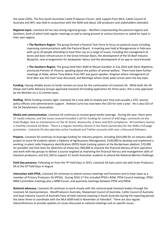the same (26%). The first South Australian Cattle Producers Forum, with support from MLA, Cattle Council of Australia and WFI, was held in conjunction with the AGM and about 100 producers and stakeholders attended.

**Regional input.** Livestock SA has two strong regional groups – Northern (representing the pastoral region) and Southern, both of which hold regular meetings as well as being present at various functions or asked for input in their own regions.

**> The Northern Region.** The group formed a Pastoral Task Force to focus on pastoral issues including improving communications with the Pastoral Board. A meeting was held at Mungerannie in February with up to 30 people attending to have their say on a range of issues, including the management of bores and bore infrastructure in the Great Artesian Basin, the development of the SA Beef Industry Blueprint, new arrangements for backpacker labour and the development of an app to record brands.

**> The Southern Region.** The group held their AGM at Mount Gambier in July 2016 with Denis Napthine, previously Premier of Victoria, speaking about the politics of animal welfare. There have been further meetings at Robe, where Tony Mahar from NFF was guest speaker, Kingston where management of feral deer was the main issue discussed, and Meningie where stock water prices were the key topic.

**Funding.** Having reliable access to funds remains an issue for the continuation of Livestock SA. While both the SA Sheep and Cattle Advisory Groups approved Livestock SA funding application for three years, this is only approved by the Minister on a 12 months basis.

**Staffing.** While funding remains tight, Livestock SA is now able to employ part time and casually a CEO, several policy officers and administrative support. Andrew Curtis has now been the CEO for over a year. He is also CEO of the SA Dairyfarmers' Association.

**Media and communication.** Livestock SA continues to receive good media coverage. During the year, there were 17 media releases, and the issues covered included a call for funding for control of wild dogs, comments on the State Budget, lack on maintenance on the SE drains, biosecurity, Q fever and NLIS compliance. All members receive a monthly *Livestock SA News.* There is a regular monthly column in the *Stock Journal* plus for the AGM a full-page promotion. Livestock SA also operates active Facebook and Twitter accounts with over a thousand followers.

**Projects.** Livestock SA continues to leverage funding for industry projects, including \$414,000 for an industry skills project to assist 44 students obtain a Diploma of Agribusiness Management; \$100,000 to develop and implement a working, in-plant radio frequency identification (RFID) hook tracking system at the Bordertown abattoir; \$70,000 for portable real time tests for detection of sheep lice; \$60,000 to improve the financial literacy of farm operators and work with key groups to deliver a course targeted at improving the financial literacy and management skills of livestock producers; and \$12,100 to support 31 South Australian students to attend the National Merino Challenge.

**Field Day presence.** Following on from the YP Field Days in 2015, Livestock SA had a joint site with Grain Producers SA at the EP Field Days in August.

**Interaction with PPSA.** Livestock SA continues to attend various meetings and functions and to have input as a member of Primary Producers SA (PPSA). During 2016-17 this included PPSA's AGM, PPSA Council meetings, PPSA NRM Committee meetings plus a NRM Forum, and quarterly meetings between PPSA and PIRSA.

**National advocacy.** Livestock SA continues to work closely with the national peak livestock bodies through the Livestock SA representatives. WoolProducers Australia, Sheepmeat Council of Australia, Cattle Council of Australia and Goat Industry Council of Australia have all held national meeting in South Australia during the reporting period, the latter three to coordinate with the MLA AGM held in November at Hahndorf. There are also regular teleconferences to provide updates on issues discussed at national meetings and on specific issues.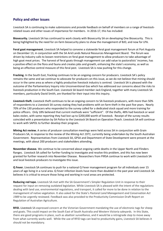# **Policy and other issues**

Livestock SA is continuing to make submissions and provide feedback on behalf of members on a range of livestockrelated issues and other issues of importance for members. In 2016-17, this has included:

**Biosecurity.** Livestock SA has continued to work closely with Biosecurity SA on developing One Biosecurity. This is being highlighted by the need for on-farm biosecurity plans to show the management of BJD, and now for LPA.

**Feral goat management.** Livestock SA helped to convene a statewide feral goat management forum at Port Augusta on December 13, in conjunction with the SA Arid Lands Natural Resources Management Board. The forum was driven by industry calls to loosen restrictions on feral goat management to allow producers to take advantage of high goat meat prices. The harvest of feral goats through management can add value to pastoralists' incomes, has a positive effect on the flora and fauna and creates jobs and growth, enhancing the state's economy, as well as being an effective control measure of this feral pest. Livestock SA is now pushing for this change.

**Fracking.** In the South East, fracking continues to be an ongoing concern for producers. Livestock SA's policy remains the same and we continue to advocate for producers on this issue, as we do not believe that mining should occur in the same area as where a highly productive livestock industry is centred. Livestock SA is pleased with the outcome of the Parliamentary Inquiry into Unconventional Gas which has addressed our concerns about the risks to livestock production in the South East. Livestock SA board member Jack England, together with many Livestock SA members, particularly David Smith, are thanked for their input into this inquiry.

**Livestock theft.** Livestock theft continues to be an ongoing concern to SA livestock producers, with more than 50% of respondents to a Livestock SA survey stating they had problems with on-farm theft in the past five years. Nearly 70% of the 130 producers who responded to the survey called for a dedicated stock squad and more training for police officers. Only 18% believed that current methods were "sufficient". Of the thefts, 48% had livestock or wool bales stolen, with some reporting they had lost up to \$200,000 worth of livestock. Receipt of the survey results coincided with a presentation by SA Police to the Livestock SA Board on Operation Poach. Livestock SA will continue to work with SAPOL to further develop their program.

**Mining Act review.** A series of producer consultation meetings were held across SA in conjunction with Grain Producers SA, in response to the review of the *Mining Act 1971*, currently being undertaken by the South Australian Government. Representatives from Livestock SA, GPSA and Department of State Development were present at the meetings, with about 200 producers and stakeholders attending.

**November disease.** We continue to be concerned about ongoing cattle deaths in the Upper North and Flinders Ranges. Livestock SA called for further funding to investigate and resolve this problem, and this has now been granted for further research into November Disease. Researchers from PIRSA continue to work with Livestock SA and local livestock producers to investigate this issue.

**Q Fever.** Livestock SA continues to push for a national Q Fever management program for all individuals over 15 years of age living in a rural area. Q Fever infection levels have more than doubled in the past year and Livestock SA believes it is critical to ensure those living and working in rural areas are protected.

**Reducing red tape.** Livestock SA met with the SA Government's Simpler Regulation Unit in response to their request for input on removing outdated legislation. While Livestock SA is pleased with the intent of the regulations dealing with land use, environmental regulations, and transport, it called for more to be done in relation to the management of native vegetation. It also asked for the State's *Pastoral Land Management and Conservation Act 1989* to be urgently reviewed. Feedback was also provided to the Productivity Commission Draft Report on Regulation of Australian Agriculture.

**RFID.** Livestock SA expressed concern at the Victorian Government mandating the use of electronic tags for sheep and goats. This could impact on the South East of South Australia and Western Victoria saleyards. In this State, there are good programs in place, such as abattoir surveillance, and it would be a retrograde step to move away from what currently works well. While the use of RFID tags can lead to productivity gains, Livestock SA believes it should not be mandatory.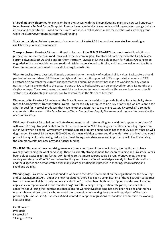**SA Beef Industry Blueprint.** Following on from the success with the Sheep Blueprint, plans are now well underway to implement a SA Beef Cattle Blueprint. Forums have been held at Naracoorte and Mungerannie to gauge industry interest and commitment. Based on the success of these, a call has been made for members of a working group while the State Government has committed funding.

**Stock on road signs.** Following requests from members, Livestock SA has produced new stock on road signs available for purchase by members.

**Transport issues.** Livestock SA has continued to be part of the PPSA/PIRSA/DPTI transport project in addition to pushing for improvements in road transport in the pastoral region. Livestock SA participated in the First Ministers Forum between South Australia and Northern Territory. Livestock SA was able to push for Yorkeys Crossing to be upgraded with a pod established and road train triples to be allowed to Dublin, and has since welcomed the State Government's announcement to provide funding towards this.

**Visas for backpackers.** Livestock SA made a submission to the review of working holiday visas. Backpackers should pay tax but we considered 32.5% was too high, and Livestock SA supported NFF's proposal of a tax rate of 19%. Livestock SA also wants the current changes that the Federal Government has made to working holiday visas in northern Australia extended to the pastoral zone of SA, so backpackers can be employed for up to 12 months by a single employer. The current rules, that restrict a backpacker to only six months with one employer mean the SA sector is at a disadvantage in comparison to pastoralists in the Northern Territory.

**Water security.** Livestock SA welcomed the State Government's decision to provide funding for a feasibility study for the Coorong Water Transportation Project. Water security continues to be a key priority and we are keen to see a better deal for livestock producers that have no other option than to use mains water. Livestock SA also made comments to the review of the Eyre Peninsula Water Demand and Supply Statement and the need to recognise the needs of livestock.

**Wild dogs.** Livestock SA called on the State Government to reinstate funding for a wild dog trapper in northern SA with over 500 dogs trapped or shot south of the fence so far in 2017. Funding for the State's only dog trapper ran out in April when a Federal Government drought support program ended, which has meant SA currently has no wild dog trapper. Livestock SA believes \$300,000 would mean wild dog control could be undertaken at a level that would protect the agricultural industry, reduce the threat facing peri-urban areas and importantly wild life. Fortunately, the Commonwealth has now provided further funding.

**WoolTAG.** This committee comprising members from all sections of the wool industry has continued to have oversight of training for wool harvesting. There is currently strong demand for shearer training and Livestock SA has been able to assist in getting further AWI funding so that more courses could be run. Wendy Jones, the long serving secretary for WoolTAG retired earlier this year. Livestock SA acknowledges Wendy for her tireless efforts and the diligence she demonstrated over many years promoting best practice in shearing, wool classing and shedhand training.

**Working dogs.** Livestock SA has continued to work with the State Government on the regulations for the new Dog and Cat Management Act*.* Under the new regulations, there has been a simplification of the registration categories from a minimum of eight to only two – a 'standard dog' (that has been both microchipped and desexed including applicable exemptions) and a 'non-standard dog'. With this change in registration categories, Livestock SA's concerns about losing the registration concessions for working livestock dogs has now been realised and this has meant lobbying those councils who removed the concession. As working dogs are an integral part of livestock producing businesses in SA, Livestock SA had wanted to keep the regulations to mandate a concession for working livestock dogs.

Geoff Power President Livestock SA 11 August 2017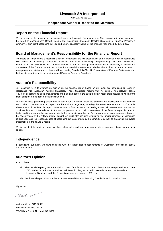ABN 12 332 656 991

#### **Independent Auditor's Report to the Members**

#### **Report on the Financial Report**

We have audited the accompanying financial report of Livestock SA Incorporated (the association), which comprises the Board of Management's Report, Income and Expenditure Statement, Detailed Statement of Financial Position, a summary of significant accounting policies and other explanatory notes for the financial year ended 30 June 2017.

#### **Board of Management's Responsibility for the Financial Report**

The Board of Management is responsible for the preparation and fair presentation of the financial report in accordance with Australian Accounting Standards (including Australian Accounting Interpretations) and the Associations Incorporation Act 1985 (SA), and for such internal control as management determines is necessary to enable the preparation of the financial report that is free from material misstatement, whether due to fraud or error. In Note 1, management also states in accordance with Accounting Standard AASB 101: Presentation of Financial Statements, that the financial report complies with International Financial Reporting Standards.

# **Auditor's Responsibility**

Our responsibility is to express an opinion on the financial report based on our audit. We conducted our audit in accordance with Australian Auditing Standards. Those Standards require that we comply with relevant ethical requirements relating to audit engagements and plan and perform the audit to obtain reasonable assurance whether the financial report is free from material misstatement.

An audit involves performing procedures to obtain audit evidence about the amounts and disclosures in the financial report. The procedures selected depend on the auditor's judgement, including the assessment of the risks of material misstatement of the financial report, whether due to fraud or error. In making those risk assessments, the auditor considers internal control relevant to the entity's preparation and fair presentation of the financial report in order to design audit procedures that are appropriate in the circumstances, but not for the purpose of expressing an opinion on the effectiveness of the entity's internal control. An audit also includes evaluating the appropriateness of accounting policies used and the reasonableness of accounting estimates made by the committee, as well as evaluating the overall presentation of the financial report.

We believe that the audit evidence we have obtained is sufficient and appropriate to provide a basis for our audit opinion.

#### **Independence**

In conducting our audit, we have complied with the independence requirements of Australian professional ethical pronouncements.

## **Auditor's Opinion**

In our opinion:

- (i) The financial report gives a true and fair view of the financial position of Livestock SA Incorporated as 30 June 2017, and of its performance and its cash flows for the year ended in accordance with the Australian Accounting Standards and the Associations Incorporation Act 1985; and
- (ii) the financial report also complies with International Financial Reporting Standards as disclosed in Note 1.

Signed on :

March M \_\_\_\_\_\_\_\_\_\_\_\_\_\_\_\_\_\_\_\_\_\_\_\_\_\_\_\_\_\_\_\_\_\_\_\_\_\_\_\_\_\_\_\_\_\_\_\_\_\_\_

Matthew White, ACA 90095 Business Inittiatives Pty Ltd 20D William Street, Norwood SA 5067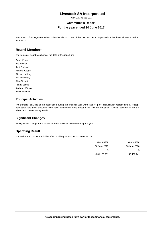ABN 12 332 656 991

#### **Committee's Report**

#### **For the year ended 30 June 2017**

Your Board of Management submits the financial accounts of the Livestock SA Incorporated for the financial year ended 30 June 2017.

#### **Board Members**

The names of Board Members at the date of this report are:

Geoff Power Joe Keynes Jack England Andrew Clarke Richard Halliday Bill Nosworthy Allan Piggott Penny Schulz Andrew Withers Jamie Heinrich

#### **Principal Activities**

The principal activities of the association during the financial year were: Not for profit organisation representing all sheep, beef cattle and goat producers who have contributed funds through the Primary Industries Funding Scheme to the SA Sheep and Cattle Industry Funds.

#### **Significant Changes**

No significant change in the nature of these activities occurred during the year.

#### **Operating Result**

The deficit from ordinary activities after providing for income tax amounted to

| Year ended    | Year ended   |
|---------------|--------------|
| 30 June 2017  | 30 June 2016 |
| S             | S            |
| (281, 153.97) | 48.438.24    |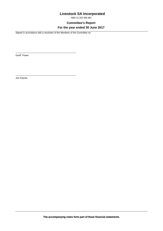ABN 12 332 656 991

**Committee's Report**

#### **For the year ended 30 June 2017**

Signed in accordance with a resolution of the Members of the Committee on:

\_\_\_\_\_\_\_\_\_\_\_\_\_\_\_\_\_\_\_\_\_\_\_\_\_\_\_\_\_\_\_\_\_\_\_\_\_\_\_\_\_\_\_\_\_\_\_\_\_

\_\_\_\_\_\_\_\_\_\_\_\_\_\_\_\_\_\_\_\_\_\_\_\_\_\_\_\_\_\_\_\_\_\_\_\_\_\_\_\_\_\_\_\_\_\_\_\_\_

Geoff Power

Joe Keynes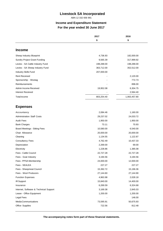ABN 12 332 656 991

# **Income and Expenditure Statement For the year ended 30 June 2017**

|                                        | 2017       | 2016<br>\$   |
|----------------------------------------|------------|--------------|
|                                        | \$         |              |
|                                        |            |              |
| <b>Income</b>                          |            |              |
| Sheep Industry Blueprint               | 4,736.93   | 182,000.00   |
| Sundry Project Grant Funding           | 9,565.39   | 317,999.92   |
| Levies - SA Cattle Industry Fund       | 198,288.00 | 198,288.00   |
| Levies - SA Sheep Industry Fund        | 363,712.00 | 352,512.00   |
| Industry Skills Fund                   | 207,000.00 |              |
| <b>Rent Received</b>                   |            | 2,120.00     |
| Sponsorship - Wootag                   |            | 772.73       |
| Reimbursements                         |            | 896.00       |
| Admin Income Received                  | 19,952.08  | 6,304.75     |
| <b>Interest Received</b>               |            | 2,564.40     |
| Total income                           | 803,254.40 | 1,063,457.80 |
|                                        |            |              |
| <b>Expenses</b>                        |            |              |
| Accountancy                            | 2,084.46   | 1,160.00     |
| <b>Administration Staff Costs</b>      | 29,237.02  | 24,033.72    |
| <b>Audit Fees</b>                      | 1,950.00   | 1,950.00     |
| <b>Bank Charges</b>                    | 73.11      | 70.93        |
| <b>Board Meetings - Sitting Fees</b>   | 10,580.00  | 6,540.00     |
| Chair Allowance                        | 20,000.00  | 20,000.00    |
| Cleaning                               | 1,134.55   | 1,122.87     |
| <b>Consultancy Fees</b>                | 4,762.49   | 10,437.33    |
| Depreciation                           | 2,269.00   | 69.00        |
| Electricity                            | 1,228.86   | 1,385.08     |
| Fees - Cattle Council                  | 22,727.28  | 22,727.28    |
| Fees - Goat Industry                   | 3,194.56   | 3,194.56     |
| Fees - PPSA Membership                 | 24,000.00  | 12,000.00    |
| Fees - SEALEA                          | 227.27     | 227.27       |
| Fees - Sheepmeat Council               | 15,392.72  | 15,196.36    |
| Fees - Wool Producers                  | 27,144.60  | 27,144.90    |
| <b>Function Expenses</b>               | 4,963.98   | 2,028.18     |
| IR Support                             | 15,840.00  | 14,400.00    |
| Insurance                              | 6,269.59   | 6,324.68     |
| Internet, Software & Technical Support | 3,169.38   | 2,845.03     |
| Lease - Office Equipment               | 1,200.00   | 1,200.00     |
| Legal Fees                             |            | 146.00       |
| Media Communications                   | 73,595.91  | 50,675.93    |
| Office Supplies                        | 722.56     | 812.48       |

**The accompanying notes form part of these financial statements.**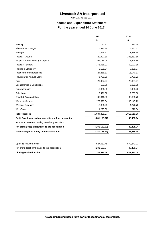ABN 12 332 656 991

# **Income and Expenditure Statement For the year ended 30 June 2017**

|                                                          | 2017          | 2016<br>\$   |
|----------------------------------------------------------|---------------|--------------|
|                                                          | \$            |              |
| Parking                                                  | 162.62        | 610.10       |
| <b>Photocopier Charges</b>                               | 5,423.34      | 4,880.43     |
| Postage                                                  | 10,295.72     | 7,358.60     |
| Project - Drought                                        | 20,807.39     | 298,281.59   |
| Project - Sheep Industry Blueprint                       | 104,136.09    | 218,349.85   |
| Projects - Sundry                                        | 376,088.01    | 50,122.39    |
| <b>Printing &amp; Stationery</b>                         | 5,101.04      | 8,305.87     |
| Producer Forum Expenses                                  | 24,258.83     | 16,040.33    |
| Provision for Annual Leave                               | (3,700.71)    | 3,700.71     |
| Rent                                                     | 20,007.27     | 20,007.27    |
| Sponsorships & Exhibitions                               | 183.96        | 5,029.55     |
| Superannuation                                           | 16,836.88     | 9,980.46     |
| Telephone                                                | 2,421.82      | 2,258.08     |
| Travel & Accomodation                                    | 38,846.08     | 33,603.73    |
| Wages & Salaries                                         | 177,590.84    | 106,147.73   |
| Website Expenses                                         | 12,886.25     | 4,272.73     |
| WorkCover                                                | 1,295.60      | 378.54       |
| Total expenses                                           | 1,084,408.37  | 1,015,019.56 |
| Profit (loss) from ordinary activities before income tax | (281, 153.97) | 48,438.24    |
| Income tax revenue relating to ordinary activities       |               |              |
| Net profit (loss) attributable to the association        | (281, 153.97) | 48,438.24    |
| Total changes in equity of the association               | (281, 153.97) | 48,438.24    |
|                                                          |               |              |
| Opening retained profits                                 | 627,680.45    | 579,242.21   |
| Net profit (loss) attributable to the association        | (281, 153.97) | 48,438.24    |
| <b>Closing retained profits</b>                          | 346,526.48    | 627,680.45   |
|                                                          |               |              |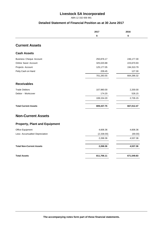ABN 12 332 656 991

#### **Detailed Statement of Financial Position as at 30 June 2017**

|                                      | 2017       | 2016       |
|--------------------------------------|------------|------------|
|                                      | \$         | \$         |
| <b>Current Assets</b>                |            |            |
| <b>Cash Assets</b>                   |            |            |
| <b>Business Cheque Account</b>       | 250,876.17 | 246,177.30 |
| Online Saver Account                 | 325,020.88 | 223,670.93 |
| Projects Account                     | 125,177.05 | 194,310.79 |
| Petty Cash on Hand                   | 209.45     | 127.30     |
|                                      | 701,283.55 | 664,286.32 |
| <b>Receivables</b>                   |            |            |
| <b>Trade Debtors</b>                 | 107,980.00 | 2,200.00   |
| Debtor - Workcover                   | 174.20     | 526.15     |
|                                      | 108,154.20 | 2,726.15   |
| <b>Total Current Assets</b>          | 809,437.75 | 667,012.47 |
| <b>Non-Current Assets</b>            |            |            |
| <b>Property, Plant and Equipment</b> |            |            |
| Office Equipment                     | 4,606.36   | 4,606.36   |
| Less: Accumualted Depreciation       | (2,338.00) | (69.00)    |
|                                      | 2,268.36   | 4,537.36   |
| <b>Total Non-Current Assets</b>      | 2,268.36   | 4,537.36   |
|                                      |            |            |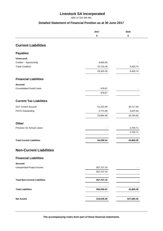ABN 12 332 656 991

#### **Detailed Statement of Financial Position as at 30 June 2017**

|                                       | 2017       | 2016       |
|---------------------------------------|------------|------------|
|                                       | \$         | \$         |
|                                       |            |            |
| <b>Current Liabilities</b>            |            |            |
| <b>Payables</b>                       |            |            |
| Unsecured:                            |            |            |
| Creditor - Sponsorship                | 6,600.00   |            |
| <b>Trade Creditors</b>                | 22,725.28  | 6,403.74   |
|                                       | 29,325.28  | 6,403.74   |
| <b>Financial Liabilities</b>          |            |            |
| Secured:                              |            |            |
| <b>Consolidated Credit Cards</b>      | 979.67     |            |
|                                       | 979.67     | ۰          |
| <b>Current Tax Liabilities</b>        |            |            |
| <b>GST Control Account</b>            | 51,223.49  | 30,717.93  |
| PAYG Outstanding                      | 2,771.00   | 3,047.00   |
|                                       | 53,994.49  | 33,764.93  |
| <b>Other</b>                          |            |            |
| Provision for Annual Leave            |            | 3,700.71   |
|                                       |            | 3,700.71   |
| <b>Total Current Liabilities</b>      | 84,299.44  | 43,869.38  |
| <b>Non-Current Liabilities</b>        |            |            |
|                                       |            |            |
| <b>Financial Liabilities</b>          |            |            |
| Secured:<br>Unexpended Project Income | 507,757.19 |            |
|                                       | 507,757.19 |            |
|                                       |            |            |
| <b>Total Non-Current Liabilities</b>  | 507,757.19 |            |
| <b>Total Liabilities</b>              | 592,056.63 | 43,869.38  |
|                                       |            |            |
| <b>Net Assets</b>                     | 219,649.48 | 627,680.45 |

**The accompanying notes form part of these financial statements.**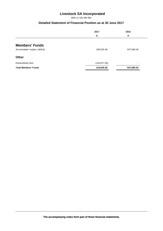ABN 12 332 656 991

### **Detailed Statement of Financial Position as at 30 June 2017**

|                               | 2017          | 2016       |
|-------------------------------|---------------|------------|
|                               | \$            | \$         |
| <b>Members' Funds</b>         |               |            |
| Accumulated surplus (deficit) | 346,526.48    | 627,680.45 |
| <b>Other</b>                  |               |            |
| Extraordinary Item            | (126, 877.00) | -          |
| <b>Total Members' Funds</b>   | 219,649.48    | 627,680.45 |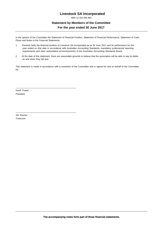ABN 12 332 656 991

### **Statement by Members of the Committee For the year ended 30 June 2017**

In the opinion of the Committee the Statement of Financial Position, Statement of Financial Performance, Statement of Cash Flows and Notes to the Financial Statements:

- 1. Presents fairly the financial position of Livestock SA Incorporated as at 30 June 2017 and its performance for the year ended on that date in accordance with Australian Accounting Standards, mandatory professional reporting requirements and other authoritative pronouncements of the Australian Accounting Standards Board.
- 2. At the date of this statement, there are reasonable grounds to believe that the association will be able to pay its debts as and when they fall due.

This statement is made in accordance with a resolution of the Committee and is signed for and on behalf of the Committee by:

Geoff Power President

\_\_\_\_\_\_\_\_\_\_\_\_\_\_\_\_\_\_\_\_\_\_\_\_\_\_\_\_\_\_\_\_\_\_\_\_\_\_\_\_\_\_\_\_\_\_\_\_\_

\_\_\_\_\_\_\_\_\_\_\_\_\_\_\_\_\_\_\_\_\_\_\_\_\_\_\_\_\_\_\_\_\_\_\_\_\_\_\_\_\_\_\_\_\_\_\_\_\_

Joe Keynes Treasurer

**The accompanying notes form part of these financial statements.**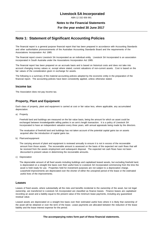ABN 12 332 656 991

#### **Notes to the Financial Statements**

#### **For the year ended 30 June 2017**

#### **Note 1: Statement of Significant Accounting Policies**

The financial report is a general purpose financial report that has been prepared in accordance with Accounting Standards and other authoritative pronouncements of the Australian Accounting Standards Board and the requirements of the Associations Incorporation Act 1985.

The financial report covers Livestock SA Incorporated as an individual entity. Livestock SA Incorporated is an association incorporated in South Australia under the Associations Incorporation Act 1985.

The financial report has been prepared on an accruals basis and is based on historical costs and does not take into account changing money values or, except where stated, current valuations of non-current assets. Cost is based on the fair values of the consideration given in exchange for assets.

The following is a summary of the material accounting policies adopted by the economic entity in the preparation of the financial report. The accounting policies have been consistently applied, unless otherwise stated.

#### **Income tax**

The Association does not pay income tax.

#### **Property, Plant and Equipment**

Each class of property, plant and equipment is carried at cost or fair value less, where applicable, any accumulated depreciation.

a) Property

Freehold land and buildings are measured on the fair value basis, being the amount for which an asset could be exchanged between knowledgeable willing parties in an arm's length transaction. It is a policy of Livestock SA Incorporated to have an independent valuation every three years, with annual appraisals being made by the directors.

The revaluation of freehold land and buildings has not taken account of the potential capital gains tax on assets acquired after the introduction of capital gains tax.

b) Plant and equipment

The carrying amount of plant and equipment is reviewed annually to ensure it is not in excess of the recoverable amount from those assets. The recoverable amount is assessed on the basis of the expected net cash flows that will be received from the assets employment and subsequent disposal. The expected net cash flows have not been discounted to present values in determining the recoverable amounts.

c) Depreciation

The depreciable amount of all fixed assets including buildings and capitalised leased assets, but excluding freehold land, is depreciated on a straight line basis over their useful lives to Livestock SA Incorporated commencing from the time the asset is held ready for use. Properties held for investment purposes are not subject to a depreciation charge. Leasehold improvements are depreciated over the shorter of either the unexpired period of the lease or the estimated useful lives of the improvements.

#### **Leases**

Leases of fixed assets, where substantially all the risks and benefits incidental to the ownership of the asset, but not legal ownership, are transferred to Livestock SA Incorporated are classified as finance leases. Finance leases are capitalised recording an asset and a liability equal to the present value of the minimum lease payments, including any guaranteed residual value.

Leased assets are depreciated on a straight line basis over their estimated useful lives where it is likely that ownership of the asset will be obtained or over the term of the lease. Lease payments are allocated between the reduction of the lease liability and the lease interest expense for the period.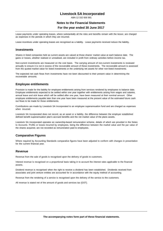ABN 12 332 656 991

#### **Notes to the Financial Statements**

#### **For the year ended 30 June 2017**

Lease payments under operating leases, where substantially all the risks and benefits remain with the lessor, are charged as expenses in the periods in which they are incurred.

Lease incentives under operating leases are recognised as a liability. Lease payments received reduce the liability.

#### **Investments**

Shares in listed companies held as current assets are valued at those shares' market value at each balance date. The gains or losses, whether realised or unrealised, are included in profit from ordinary activities before income tax.

Non-current investments are measured on the cost basis. The carrying amount of non-current investments is reviewed annually to ensure it is not in excess of the recoverable amount of these investments. The recoverable amount is assessed from the quoted market value for listed investments or the underlying net assets for other non-listed investments.

The expected net cash flows from investments have not been discounted to their present value in determining the recoverable amounts.

#### **Employee entitlements**

Provision is made for the liability for employee entitlements arising from services rendered by employees to balance date. Employee entitlements expected to be settled within one year together with entitlements arising from wages and salaries, annual leave and sick leave which will be settled after one year, have been measured at their nominal amount. Other employee entitlements payable later than one year have been measured at the present value of the estimated future cash out flows to be made for those entitlements.

Contributions are made by Livestock SA Incorporated to an employee superannuation fund and are charged as expenses when incurred.

Livestock SA Incorporated does not record, as an asset or a liability, the difference between the employer established defined benefit superannuation plan's accrued benefits and the net market value of the plans assets.

Livestock SA Incorporated operates an ownership-based remuneration scheme, details of which are provided in the Notes to Accounts. Profits or losses incurred by employees, being the difference between the market value and the par value of the shares acquired, are not recorded as remuneration paid to employees.

#### **Comparative Figures**

Where required by Accounting Standards comparative figures have been adjusted to conform with changes in presentation for the current financial year.

#### **Revenue**

Revenue from the sale of goods is recognised upon the delivery of goods to customers.

Interest revenue is recognised on a proportional basis taking in to account the interest rates applicable to the financial assets.

Dividend revenue is recognised when the right to receive a dividend has been established. Dividends received from associates and joint venture entities are accounted for in accordance with the equity method of accounting.

Revenue from the rendering of a service is recognised upon the delivery of the service to the customers.

All revenue is stated net of the amount of goods and services tax (GST).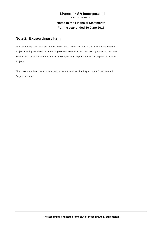# **Note 2: Extraordinary Item**

An Extraordinary Loss of \$ 126,877 was made due to adjusting the 2017 financial accounts for project funding received in financial year end 2016 that was incorrectly coded as income when it was in fact a liability due to unextinguished responsibilities in respect of certain projects.

The corresponding credit is reported in the non-current liability account "Unexpended Project Income".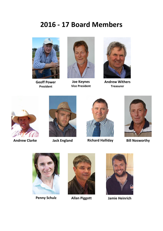# **2016 - 17 Board Members**



**Geoff Power President**



**Joe Keynes Vice President**



**Andrew Withers Treasurer**







**Andrew Clarke Jack England Richard Halliday Bill Nosworthy**









**Penny Schulz Allan Piggott Jamie Heinrich**